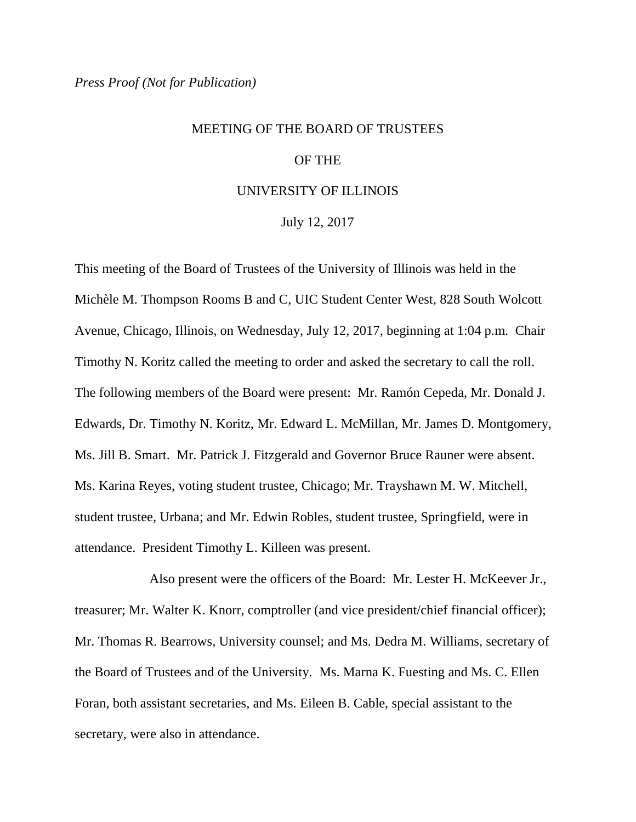## MEETING OF THE BOARD OF TRUSTEES OF THE

## UNIVERSITY OF ILLINOIS

July 12, 2017

This meeting of the Board of Trustees of the University of Illinois was held in the Michèle M. Thompson Rooms B and C, UIC Student Center West, 828 South Wolcott Avenue, Chicago, Illinois, on Wednesday, July 12, 2017, beginning at 1:04 p.m. Chair Timothy N. Koritz called the meeting to order and asked the secretary to call the roll. The following members of the Board were present: Mr. Ramón Cepeda, Mr. Donald J. Edwards, Dr. Timothy N. Koritz, Mr. Edward L. McMillan, Mr. James D. Montgomery, Ms. Jill B. Smart. Mr. Patrick J. Fitzgerald and Governor Bruce Rauner were absent. Ms. Karina Reyes, voting student trustee, Chicago; Mr. Trayshawn M. W. Mitchell, student trustee, Urbana; and Mr. Edwin Robles, student trustee, Springfield, were in attendance. President Timothy L. Killeen was present.

Also present were the officers of the Board: Mr. Lester H. McKeever Jr., treasurer; Mr. Walter K. Knorr, comptroller (and vice president/chief financial officer); Mr. Thomas R. Bearrows, University counsel; and Ms. Dedra M. Williams, secretary of the Board of Trustees and of the University. Ms. Marna K. Fuesting and Ms. C. Ellen Foran, both assistant secretaries, and Ms. Eileen B. Cable, special assistant to the secretary, were also in attendance.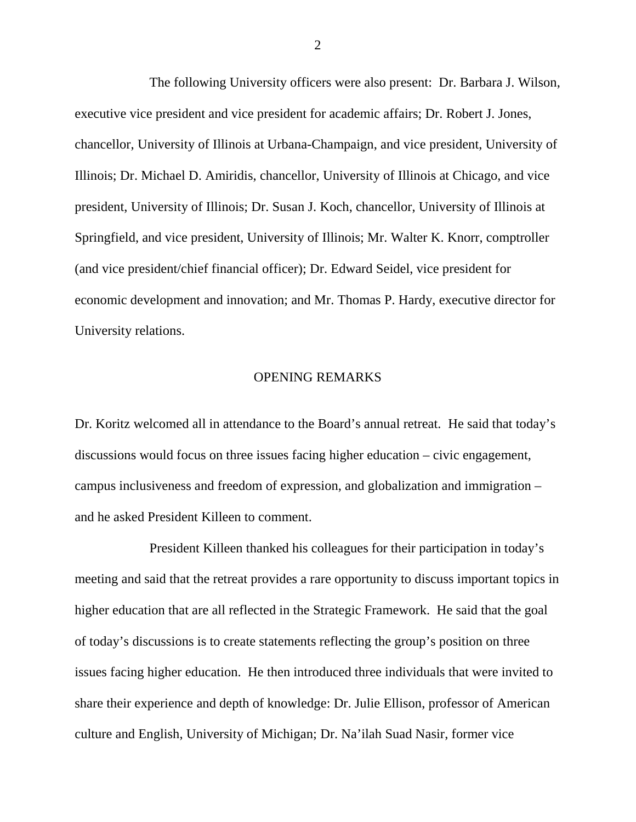The following University officers were also present: Dr. Barbara J. Wilson, executive vice president and vice president for academic affairs; Dr. Robert J. Jones, chancellor, University of Illinois at Urbana-Champaign, and vice president, University of Illinois; Dr. Michael D. Amiridis, chancellor, University of Illinois at Chicago, and vice president, University of Illinois; Dr. Susan J. Koch, chancellor, University of Illinois at Springfield, and vice president, University of Illinois; Mr. Walter K. Knorr, comptroller (and vice president/chief financial officer); Dr. Edward Seidel, vice president for economic development and innovation; and Mr. Thomas P. Hardy, executive director for University relations.

## OPENING REMARKS

Dr. Koritz welcomed all in attendance to the Board's annual retreat. He said that today's discussions would focus on three issues facing higher education – civic engagement, campus inclusiveness and freedom of expression, and globalization and immigration – and he asked President Killeen to comment.

President Killeen thanked his colleagues for their participation in today's meeting and said that the retreat provides a rare opportunity to discuss important topics in higher education that are all reflected in the Strategic Framework. He said that the goal of today's discussions is to create statements reflecting the group's position on three issues facing higher education. He then introduced three individuals that were invited to share their experience and depth of knowledge: Dr. Julie Ellison, professor of American culture and English, University of Michigan; Dr. Na'ilah Suad Nasir, former vice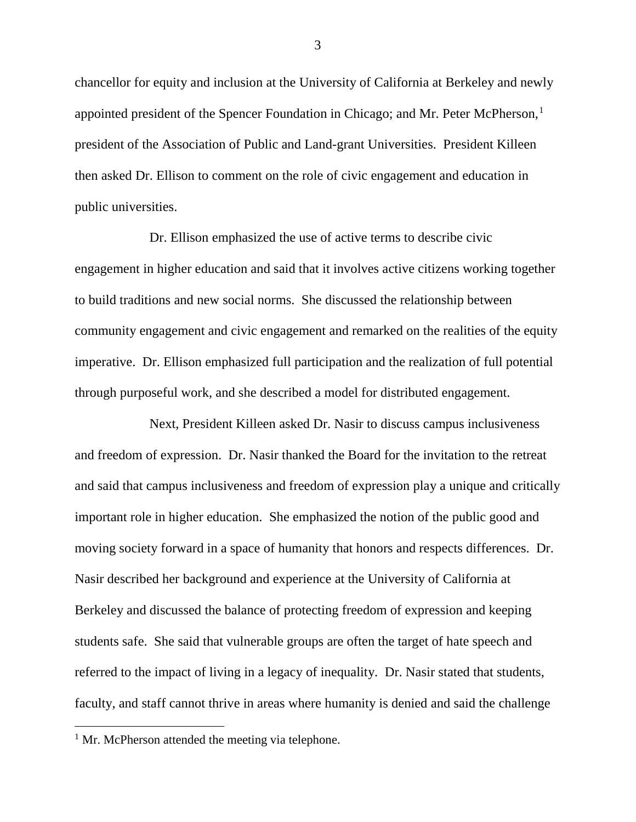chancellor for equity and inclusion at the University of California at Berkeley and newly appointed president of the Spencer Foundation in Chicago; and Mr. Peter McPherson, [1](#page-2-0) president of the Association of Public and Land-grant Universities. President Killeen then asked Dr. Ellison to comment on the role of civic engagement and education in public universities.

Dr. Ellison emphasized the use of active terms to describe civic engagement in higher education and said that it involves active citizens working together to build traditions and new social norms. She discussed the relationship between community engagement and civic engagement and remarked on the realities of the equity imperative. Dr. Ellison emphasized full participation and the realization of full potential through purposeful work, and she described a model for distributed engagement.

Next, President Killeen asked Dr. Nasir to discuss campus inclusiveness and freedom of expression. Dr. Nasir thanked the Board for the invitation to the retreat and said that campus inclusiveness and freedom of expression play a unique and critically important role in higher education. She emphasized the notion of the public good and moving society forward in a space of humanity that honors and respects differences. Dr. Nasir described her background and experience at the University of California at Berkeley and discussed the balance of protecting freedom of expression and keeping students safe. She said that vulnerable groups are often the target of hate speech and referred to the impact of living in a legacy of inequality. Dr. Nasir stated that students, faculty, and staff cannot thrive in areas where humanity is denied and said the challenge

<span id="page-2-0"></span> $<sup>1</sup>$  Mr. McPherson attended the meeting via telephone.</sup>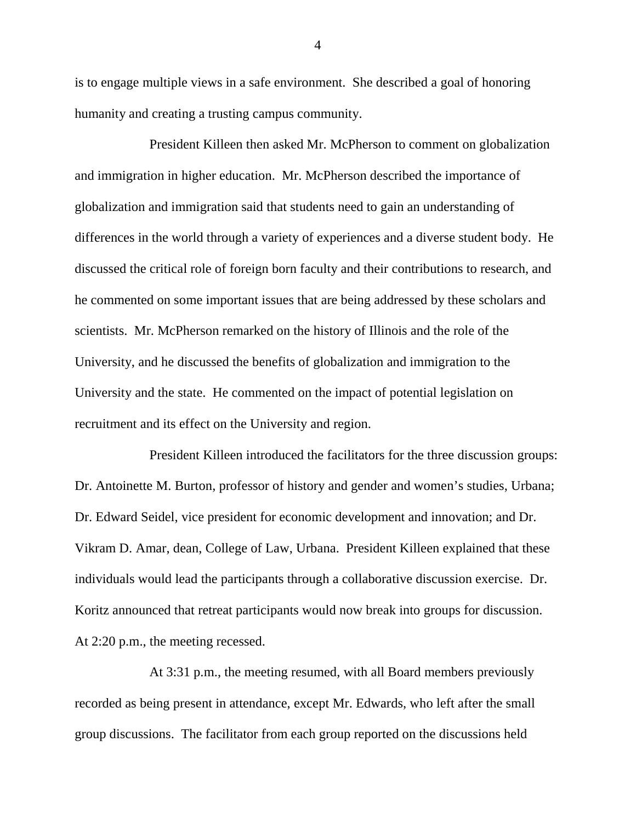is to engage multiple views in a safe environment. She described a goal of honoring humanity and creating a trusting campus community.

President Killeen then asked Mr. McPherson to comment on globalization and immigration in higher education. Mr. McPherson described the importance of globalization and immigration said that students need to gain an understanding of differences in the world through a variety of experiences and a diverse student body. He discussed the critical role of foreign born faculty and their contributions to research, and he commented on some important issues that are being addressed by these scholars and scientists. Mr. McPherson remarked on the history of Illinois and the role of the University, and he discussed the benefits of globalization and immigration to the University and the state. He commented on the impact of potential legislation on recruitment and its effect on the University and region.

President Killeen introduced the facilitators for the three discussion groups: Dr. Antoinette M. Burton, professor of history and gender and women's studies, Urbana; Dr. Edward Seidel, vice president for economic development and innovation; and Dr. Vikram D. Amar, dean, College of Law, Urbana. President Killeen explained that these individuals would lead the participants through a collaborative discussion exercise. Dr. Koritz announced that retreat participants would now break into groups for discussion. At 2:20 p.m., the meeting recessed.

At 3:31 p.m., the meeting resumed, with all Board members previously recorded as being present in attendance, except Mr. Edwards, who left after the small group discussions. The facilitator from each group reported on the discussions held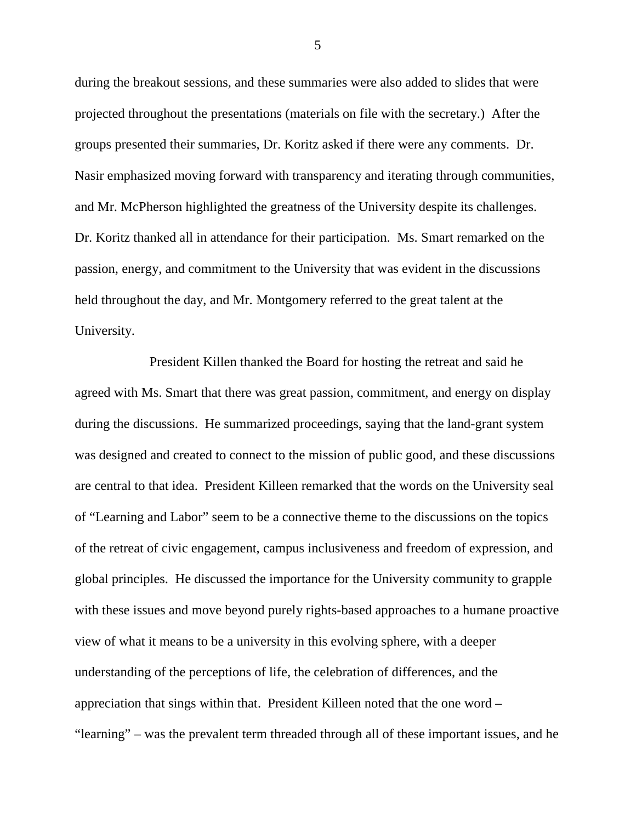during the breakout sessions, and these summaries were also added to slides that were projected throughout the presentations (materials on file with the secretary.) After the groups presented their summaries, Dr. Koritz asked if there were any comments. Dr. Nasir emphasized moving forward with transparency and iterating through communities, and Mr. McPherson highlighted the greatness of the University despite its challenges. Dr. Koritz thanked all in attendance for their participation. Ms. Smart remarked on the passion, energy, and commitment to the University that was evident in the discussions held throughout the day, and Mr. Montgomery referred to the great talent at the University.

President Killen thanked the Board for hosting the retreat and said he agreed with Ms. Smart that there was great passion, commitment, and energy on display during the discussions. He summarized proceedings, saying that the land-grant system was designed and created to connect to the mission of public good, and these discussions are central to that idea. President Killeen remarked that the words on the University seal of "Learning and Labor" seem to be a connective theme to the discussions on the topics of the retreat of civic engagement, campus inclusiveness and freedom of expression, and global principles. He discussed the importance for the University community to grapple with these issues and move beyond purely rights-based approaches to a humane proactive view of what it means to be a university in this evolving sphere, with a deeper understanding of the perceptions of life, the celebration of differences, and the appreciation that sings within that. President Killeen noted that the one word – "learning" – was the prevalent term threaded through all of these important issues, and he